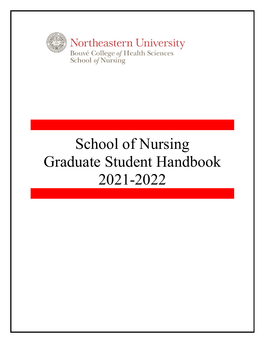

# School of Nursing Graduate Student Handbook 2021-2022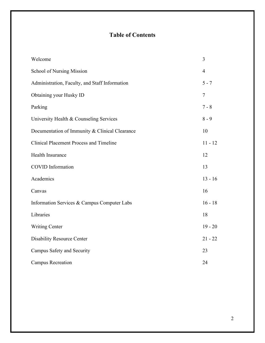# **Table of Contents**

| Welcome                                        | 3              |
|------------------------------------------------|----------------|
| <b>School of Nursing Mission</b>               | $\overline{4}$ |
| Administration, Faculty, and Staff Information | $5 - 7$        |
| Obtaining your Husky ID                        | $\tau$         |
| Parking                                        | $7 - 8$        |
| University Health & Counseling Services        | $8 - 9$        |
| Documentation of Immunity & Clinical Clearance | 10             |
| <b>Clinical Placement Process and Timeline</b> | $11 - 12$      |
| Health Insurance                               | 12             |
| <b>COVID</b> Information                       | 13             |
| Academics                                      | $13 - 16$      |
| Canvas                                         | 16             |
| Information Services & Campus Computer Labs    | $16 - 18$      |
| Libraries                                      | 18             |
| <b>Writing Center</b>                          | $19 - 20$      |
| <b>Disability Resource Center</b>              | $21 - 22$      |
| Campus Safety and Security                     | 23             |
| <b>Campus Recreation</b>                       | 24             |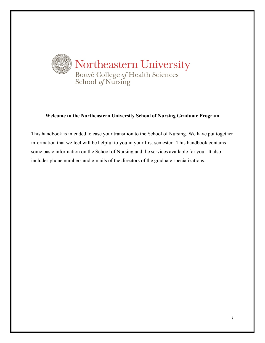

#### **Welcome to the Northeastern University School of Nursing Graduate Program**

This handbook is intended to ease your transition to the School of Nursing. We have put together information that we feel will be helpful to you in your first semester. This handbook contains some basic information on the School of Nursing and the services available for you. It also includes phone numbers and e-mails of the directors of the graduate specializations.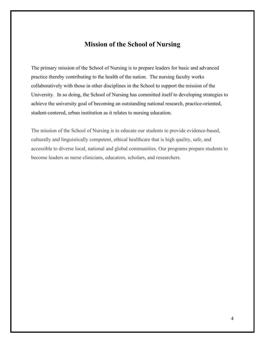# **Mission of the School of Nursing**

The primary mission of the School of Nursing is to prepare leaders for basic and advanced practice thereby contributing to the health of the nation. The nursing faculty works collaboratively with those in other disciplines in the School to support the mission of the University. In so doing, the School of Nursing has committed itself to developing strategies to achieve the university goal of becoming an outstanding national research, practice-oriented, student-centered, urban institution as it relates to nursing education.

The mission of the School of Nursing is to educate our students to provide evidence-based, culturally and linguistically competent, ethical healthcare that is high quality, safe, and accessible to diverse local, national and global communities. Our programs prepare students to become leaders as nurse clinicians, educators, scholars, and researchers.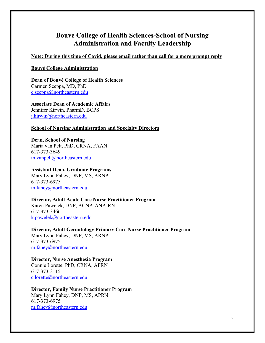# **Bouvé College of Health Sciences-School of Nursing Administration and Faculty Leadership**

**Note: During this time of Covid, please email rather than call for a more prompt reply**

#### **Bouvé College Administration**

**Dean of Bouvé College of Health Sciences** Carmen Sceppa, MD, PhD [c.sceppa@northeastern.edu](mailto:c.sceppa@northeastern.edu)

**Associate Dean of Academic Affairs** Jennifer Kirwin, PharmD, BCPS [j.kirwin@northeastern.edu](mailto:j.kirwin@northeastern.edu)

#### **School of Nursing Administration and Specialty Directors**

**Dean, School of Nursing** Maria van Pelt, PhD, CRNA, FAAN 617-373-3649 [m.vanpelt@northeastern.edu](mailto:m.vanpelt@northeastern.edu)

**Assistant Dean, Graduate Programs** Mary Lynn Fahey, DNP, MS, ARNP 617-373-6975

[m.fahey@northeastern.edu](mailto:m.fahey@northeastern.edu)

**Director, Adult Acute Care Nurse Practitioner Program** Karen Pawelek, DNP, ACNP, ANP, RN 617-373-3466 [k.pawelek@northeastern.edu](mailto:k.pawelek@northeastern.edu)

**Director, Adult Gerontology Primary Care Nurse Practitioner Program** Mary Lynn Fahey, DNP, MS, ARNP 617-373-6975 [m.fahey@northeastern.edu](mailto:m.fahey@northeastern.edu)

**Director, Nurse Anesthesia Program** Connie Lorette, PhD, CRNA, APRN 617-373-3115 [c.lorette@northeastern.edu](mailto:c.lorette@northeastern.edu)

**Director, Family Nurse Practitioner Program** Mary Lynn Fahey, DNP, MS, APRN 617-373-6975 [m.fahey@northeastern.edu](mailto:m.fahey@northeastern.edu)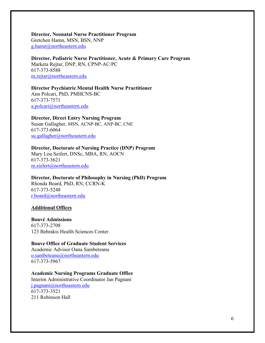**Director, Neonatal Nurse Practitioner Program** Gretchen Hamn, MSN, BSN, NNP [g.hamn@northeastern.edu](mailto:g.hamn@northeastern.edu)

**Director, Pediatric Nurse Practitioner, Acute & Primary Care Program** Marketa Rejtar, DNP, RN, CPNP-AC/PC 617-373-8588 [m.rejtar@northeastern.edu](mailto:m.rejtar@northeastern.edu)

**Director Psychiatric Mental Health Nurse Practitioner** Ann Polcari, PhD, PMHCNS-BC 617-373-7571 [a.polcari@northeastern.edu](mailto:a.polcari@northeastern.edu)

**Director, Direct Entry Nursing Program**

Susan Gallagher, MSN, ACNP-BC, ANP-BC, CNE 617-373-6064 [su.gallagher@northeastern.edu](mailto:su.gallagher@northeastern.edu)

**Director, Doctorate of Nursing Practice (DNP) Program**

Mary Lou Seifert, DNSc, MBA, RN, AOCN 617-373-3621 [m.siefert@northeastern.edu](mailto:m.siefert@northeastern.edu)

**Director, Doctorate of Philosophy in Nursing (PhD) Program** Rhonda Board, PhD, RN, CCRN-K 617-373-5248 [r.board@northeastern.edu](mailto:r.board@northeastern.edu)

#### **Additional Offices**

## **Bouvé Admissions**

617-373-2708 123 Behrakis Health Sciences Center

## **Bouve Office of Graduate Student Services**

Academic Advisor Oana Sambeteanu [o.sambeteanu@northeastern.edu](mailto:o.sambeteanu@northeastern.edu) 617-373-5967

#### **Academic Nursing Programs Graduate Office**

Interim Administrative Coordinator Jan Pagnani [j.pagnani@northeastern.edu](mailto:j.pagnani@northeastern.edu) 617-373-3521 211 Robinson Hall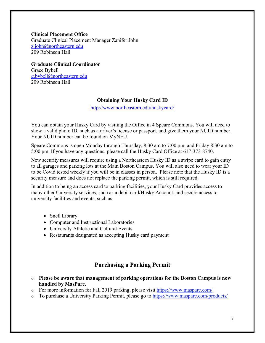**Clinical Placement Office** Graduate Clinical Placement Manager Zanifer John [z.john@northeastern.edu](mailto:z.john@northeastern.edu) 209 Robinson Hall

**Graduate Clinical Coordinator** Grace Bybell [g.bybell@northeastern.edu](mailto:g.bybell@northeastern.edu) 209 Robinson Hall

#### **Obtaining Your Husky Card ID**

<http://www.northeastern.edu/huskycard/>

You can obtain your Husky Card by visiting the Office in 4 Speare Commons. You will need to show a valid photo ID, such as a driver's license or passport, and give them your NUID number. Your NUID number can be found on MyNEU.

Speare Commons is open Monday through Thursday, 8:30 am to 7:00 pm, and Friday 8:30 am to 5:00 pm. If you have any questions, please call the Husky Card Office at 617-373-8740.

New security measures will require using a Northeastern Husky ID as a swipe card to gain entry to all garages and parking lots at the Main Boston Campus. You will also need to wear your ID to be Covid tested weekly if you will be in classes in person. Please note that the Husky ID is a security measure and does not replace the parking permit, which is still required.

In addition to being an access card to parking facilities, your Husky Card provides access to many other University services, such as a debit card/Husky Account, and secure access to university facilities and events, such as:

- Snell Library
- Computer and Instructional Laboratories
- University Athletic and Cultural Events
- Restaurants designated as accepting Husky card payment

# **Purchasing a Parking Permit**

- o **Please be aware that management of parking operations for the Boston Campus is now handled by MasParc.**
- o For more information for Fall 2019 parking, please visit <https://www.masparc.com/>
- To purchase a University Parking Permit, please go to <https://www.masparc.com/products/>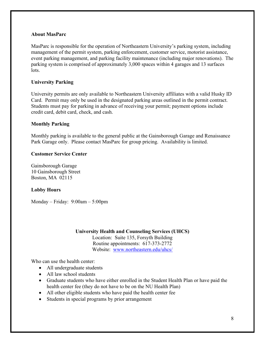#### **About MasParc**

MasParc is responsible for the operation of Northeastern University's parking system, including management of the permit system, parking enforcement, customer service, motorist assistance, event parking management, and parking facility maintenance (including major renovations). The parking system is comprised of approximately 3,000 spaces within 4 garages and 13 surfaces lots.

## **University Parking**

University permits are only available to Northeastern University affiliates with a valid Husky ID Card. Permit may only be used in the designated parking areas outlined in the permit contract. Students must pay for parking in advance of receiving your permit; payment options include credit card, debit card, check, and cash.

#### **Monthly Parking**

Monthly parking is available to the general public at the Gainsborough Garage and Renaissance Park Garage only. Please contact MasParc for group pricing. Availability is limited.

#### **Customer Service Center**

Gainsborough Garage 10 Gainsborough Street Boston, MA 02115

#### **Lobby Hours**

Monday – Friday: 9:00am – 5:00pm

#### **University Health and Counseling Services (UHCS)**

Location: Suite 135, Forsyth Building Routine appointments: 617-373-2772 Website: [www.northeastern.edu/uhcs/](http://www.northeastern.edu/uhcs/)

Who can use the health center:

- All undergraduate students
- All law school students
- Graduate students who have either enrolled in the Student Health Plan or have paid the health center fee (they do not have to be on the NU Health Plan)
- All other eligible students who have paid the health center fee
- Students in special programs by prior arrangement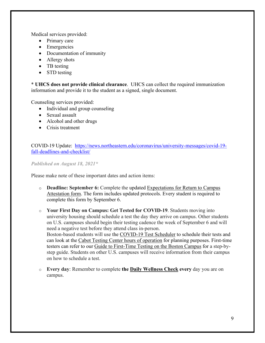Medical services provided:

- Primary care
- Emergencies
- Documentation of immunity
- Allergy shots
- TB testing
- STD testing

\* **UHCS does not provide clinical clearance**. UHCS can collect the required immunization information and provide it to the student as a signed, single document.

Counseling services provided:

- Individual and group counseling
- Sexual assault
- Alcohol and other drugs
- Crisis treatment

COVID-19 Update: [https://news.northeastern.edu/coronavirus/university-messages/covid-19](https://news.northeastern.edu/coronavirus/university-messages/covid-19-fall-deadlines-and-checklist/) [fall-deadlines-and-checklist/](https://news.northeastern.edu/coronavirus/university-messages/covid-19-fall-deadlines-and-checklist/)

*Published on August 18, 2021\**

Please make note of these important dates and action items:

- o **Deadline: September 6:** Complete the updated [Expectations for Return to Campus](https://service.northeastern.edu/wellness?id=wellness_cat_item&sys_id=6aa9917adbf9fcd0a37cd206ca961952)  [Attestation form.](https://service.northeastern.edu/wellness?id=wellness_cat_item&sys_id=6aa9917adbf9fcd0a37cd206ca961952) The form includes updated protocols. Every student is required to complete this form by September 6.
- o **Your First Day on Campus: Get Tested for COVID-19**. Students moving into university housing should schedule a test the day they arrive on campus. Other students on U.S. campuses should begin their testing cadence the week of September 6 and will need a negative test before they attend class in-person. Boston-based students will use the [COVID-19 Test Scheduler](https://northeastern.sharepoint.com/sites/covidscheduler/SitePages/Home.aspx?wa=wsignin1.0) to schedule their tests and can look at the Cabot Testing Center hours of operation for planning purposes. First-time testers can refer to our [Guide to First-Time Testing on the Boston Campus](https://news.northeastern.edu/coronavirus/reopening/guide-to-first-time-testing-on-the-boston-campus/) for a step-bystep guide. Students on other U.S. campuses will receive information from their campus on how to schedule a test.
- o **Every day**: Remember to complete **the [Daily Wellness Check](https://service.northeastern.edu/wellness?id=wellness_cat_item&sys_id=340f4312dbda1c102d2caa82ca9619bf) every** day you are on campus.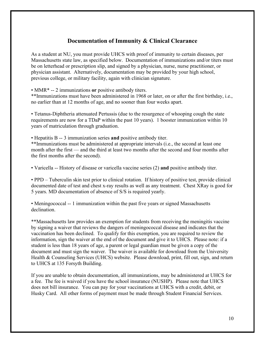# **Documentation of Immunity & Clinical Clearance**

As a student at NU, you must provide UHCS with proof of immunity to certain diseases, per Massachusetts state law, as specified below. Documentation of immunizations and/or titers must be on letterhead or prescription slip, and signed by a physician, nurse, nurse practitioner, or physician assistant. Alternatively, documentation may be provided by your high school, previous college, or military facility, again with clinician signature.

• MMR\* -- 2 immunizations **or** positive antibody titers.

\*\*Immunizations must have been administered in 1968 or later, on or after the first birthday, i.e., no earlier than at 12 months of age, and no sooner than four weeks apart.

• Tetanus-Diphtheria attenuated Pertussis (due to the resurgence of whooping cough the state requirements are now for a TDaP within the past 10 years). 1 booster immunization within 10 years of matriculation through graduation.

• Hepatitis B -- 3 immunization series **and** positive antibody titer.

\*\*Immunizations must be administered at appropriate intervals (i.e., the second at least one month after the first — and the third at least two months after the second and four months after the first months after the second).

• Varicella -- History of disease or varicella vaccine series (2) **and** positive antibody titer.

• PPD – Tuberculin skin test prior to clinical rotation. If history of positive test, provide clinical documented date of test and chest x-ray results as well as any treatment. Chest XRay is good for 5 years. MD documentation of absence of S/S is required yearly.

• Meningococcal -- 1 immunization within the past five years or signed Massachusetts declination.

\*\*Massachusetts law provides an exemption for students from receiving the meningitis vaccine by signing a waiver that reviews the dangers of meningococcal disease and indicates that the vaccination has been declined. To qualify for this exemption, you are required to review the information, sign the waiver at the end of the document and give it to UHCS. Please note: if a student is less than 18 years of age, a parent or legal guardian must be given a copy of the document and must sign the waiver. The waiver is available for download from the University Health & Counseling Services (UHCS) website. Please download, print, fill out, sign, and return to UHCS at 135 Forsyth Building.

If you are unable to obtain documentation, all immunizations, may be administered at UHCS for a fee. The fee is waived if you have the school insurance (NUSHP). Please note that UHCS does not bill insurance. You can pay for your vaccinations at UHCS with a credit, debit, or Husky Card. All other forms of payment must be made through Student Financial Services.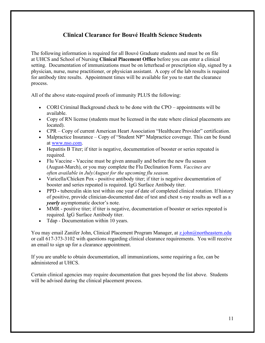# **Clinical Clearance for Bouvé Health Science Students**

The following information is required for all Bouvé Graduate students and must be on file at UHCS and School of Nursing **Clinical Placement Office** before you can enter a clinical setting. Documentation of immunizations must be on letterhead or prescription slip, signed by a physician, nurse, nurse practitioner, or physician assistant. A copy of the lab results is required for antibody titre results. Appointment times will be available for you to start the clearance process.

All of the above state-required proofs of immunity PLUS the following:

- CORI Criminal Background check to be done with the CPO appointments will be available.
- Copy of RN license (students must be licensed in the state where clinical placements are located).
- CPR Copy of current American Heart Association "Healthcare Provider" certification.
- Malpractice Insurance Copy of "Student NP" Malpractice coverage. This can be found at [www.nso.com.](https://nam12.safelinks.protection.outlook.com/?url=http%3A%2F%2Fwww.nso.com%2F&data=02%7C01%7Cj.pagnani%40northeastern.edu%7C42b0f7ab575c4968995908d8490e646b%7Ca8eec281aaa34daeac9b9a398b9215e7%7C0%7C0%7C637339673443024601&sdata=IcYMm45mvttP4Dhyo0AGh5Naf5wUT%2Fsfq2CN%2BkBpehc%3D&reserved=0)
- Hepatitis B Titer; if titer is negative, documentation of booster or series repeated is required.
- Flu Vaccine Vaccine must be given annually and before the new flu season (August-March), or you may complete the Flu Declination Form. *Vaccines are often available in July/August for the upcoming flu season.*
- Varicella/Chicken Pox positive antibody titer; if titer is negative documentation of booster and series repeated is required. IgG Surface Antibody titer.
- PPD tuberculin skin test within one year of date of completed clinical rotation. If history of positive, provide clinician-documented date of test and chest x-ray results as well as a *yearly* asymptomatic doctor's note.
- MMR positive titer; if titer is negative, documentation of booster or series repeated is required. IgG Surface Antibody titer.
- Tdap Documentation within 10 years.

You may email Zanifer John, Clinical Placement Program Manager, at [z.john@northeastern.edu](mailto:z.john@northeastern.edu) or call 617-373-3102 with questions regarding clinical clearance requirements. You will receive an email to sign up for a clearance appointment.

If you are unable to obtain documentation, all immunizations, some requiring a fee, can be administered at UHCS.

Certain clinical agencies may require documentation that goes beyond the list above. Students will be advised during the clinical placement process.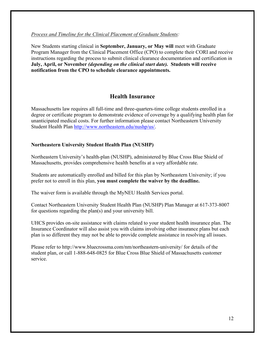*Process and Timeline for the Clinical Placement of Graduate Students:*

New Students starting clinical in **September, January, or May will** meet with Graduate Program Manager from the Clinical Placement Office (CPO) to complete their CORI and receive instructions regarding the process to submit clinical clearance documentation and certification in **July, April, or November** *(depending on the clinical start date).* **Students will receive notification from the CPO to schedule clearance appointments.**

# **Health Insurance**

Massachusetts law requires all full-time and three-quarters-time college students enrolled in a degree or certificate program to demonstrate evidence of coverage by a qualifying health plan for unanticipated medical costs. For further information please contact Northeastern University Student Health Plan [http://www.northeastern.edu/nushp/us/.](http://www.northeastern.edu/nushp/us/)

## **Northeastern University Student Health Plan (NUSHP)**

Northeastern University's health-plan (NUSHP), administered by Blue Cross Blue Shield of Massachusetts, provides comprehensive health benefits at a very affordable rate.

Students are automatically enrolled and billed for this plan by Northeastern University; if you prefer not to enroll in this plan, **you must complete the waiver by the deadline.**

The waiver form is available through the MyNEU Health Services portal.

Contact Northeastern University Student Health Plan (NUSHP) Plan Manager at 617-373-8007 for questions regarding the plan(s) and your university bill.

UHCS provides on-site assistance with claims related to your student health insurance plan. The Insurance Coordinator will also assist you with claims involving other insurance plans but each plan is so different they may not be able to provide complete assistance in resolving all issues.

Please refer to http://www.bluecrossma.com/nm/northeastern-university/ for details of the student plan, or call 1-888-648-0825 for Blue Cross Blue Shield of Massachusetts customer service.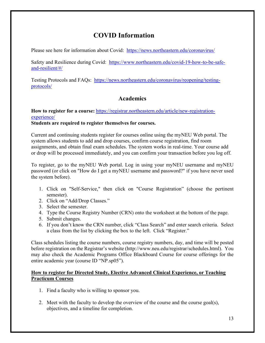# **COVID Information**

Please see here for information about Covid: <https://news.northeastern.edu/coronavirus/>

Safety and Resilience during Covid: [https://www.northeastern.edu/covid-19-how-to-be-safe](https://www.northeastern.edu/covid-19-how-to-be-safe-and-resilient/#/)[and-resilient/#/](https://www.northeastern.edu/covid-19-how-to-be-safe-and-resilient/#/)

Testing Protocols and FAQs: [https://news.northeastern.edu/coronavirus/reopening/testing](https://news.northeastern.edu/coronavirus/reopening/testing-protocols/)[protocols/](https://news.northeastern.edu/coronavirus/reopening/testing-protocols/)

# **Academics**

## How to register for a course: [https://registrar.northeastern.edu/article/new-registration](https://registrar.northeastern.edu/article/new-registration-experience/)[experience/](https://registrar.northeastern.edu/article/new-registration-experience/)

## **Students are required to register themselves for courses.**

Current and continuing students register for courses online using the myNEU Web portal. The system allows students to add and drop courses, confirm course registration, find room assignments, and obtain final exam schedules. The system works in real-time. Your course add or drop will be processed immediately, and you can confirm your transaction before you log off.

To register, go to the myNEU Web portal. Log in using your myNEU username and myNEU password (or click on "How do I get a myNEU username and password?" if you have never used the system before).

- 1. Click on "Self-Service," then click on "Course Registration" (choose the pertinent semester).
- 2. Click on "Add/Drop Classes."
- 3. Select the semester.
- 4. Type the Course Registry Number (CRN) onto the worksheet at the bottom of the page.
- 5. Submit changes.
- 6. If you don't know the CRN number, click "Class Search" and enter search criteria. Select a class from the list by clicking the box to the left. Click "Register."

Class schedules listing the course numbers, course registry numbers, day, and time will be posted before registration on the Registrar's website (http://www.neu.edu/registrar/schedules.html). You may also check the Academic Programs Office Blackboard Course for course offerings for the entire academic year (course ID "NP.sp05").

## **How to register for Directed Study, Elective Advanced Clinical Experience, or Teaching Practicum Courses**

- 1. Find a faculty who is willing to sponsor you.
- 2. Meet with the faculty to develop the overview of the course and the course goal(s), objectives, and a timeline for completion.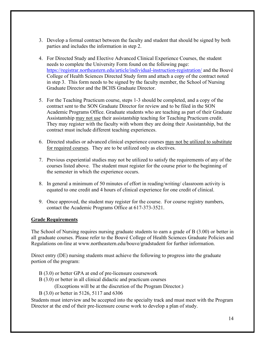- 3. Develop a formal contract between the faculty and student that should be signed by both parties and includes the information in step 2.
- 4. For Directed Study and Elective Advanced Clinical Experience Courses, the student needs to complete the University Form found on the following page: https://registrar.northeastern.edu/article/individual-instruction-registration/ and the Bouvé College of Health Sciences Directed Study form and attach a copy of the contract noted in step 3. This form needs to be signed by the faculty member, the School of Nursing Graduate Director and the BCHS Graduate Director.
- 5. For the Teaching Practicum course, steps 1-3 should be completed, and a copy of the contract sent to the SON Graduate Director for review and to be filed in the SON Academic Programs Office. Graduate students who are teaching as part of their Graduate Assistantship may not use their assistantship teaching for Teaching Practicum credit. They may register with the faculty with whom they are doing their Assistantship, but the contract must include different teaching experiences.
- 6. Directed studies or advanced clinical experience courses may not be utilized to substitute for required courses. They are to be utilized only as electives.
- 7. Previous experiential studies may not be utilized to satisfy the requirements of any of the courses listed above. The student must register for the course prior to the beginning of the semester in which the experience occurs.
- 8. In general a minimum of 50 minutes of effort in reading/writing/ classroom activity is equated to one credit and 4 hours of clinical experience for one credit of clinical.
- 9. Once approved, the student may register for the course. For course registry numbers, contact the Academic Programs Office at 617-373-3521.

## **Grade Requirements**

The School of Nursing requires nursing graduate students to earn a grade of B (3.00) or better in all graduate courses. Please refer to the Bouvé College of Health Sciences Graduate Policies and Regulations on-line at [www.northeastern.edu/bouve/gradstudent](http://www.northeastern.edu/bouve/gradstudent) for further information.

Direct entry (DE) nursing students must achieve the following to progress into the graduate portion of the program:

- B (3.0) or better GPA at end of pre-licensure coursework
- B (3.0) or better in all clinical didactic and practicum courses

(Exceptions will be at the discretion of the Program Director.)

B (3.0) or better in 5126, 5117 and 6306

Students must interview and be accepted into the specialty track and must meet with the Program Director at the end of their pre-licensure course work to develop a plan of study.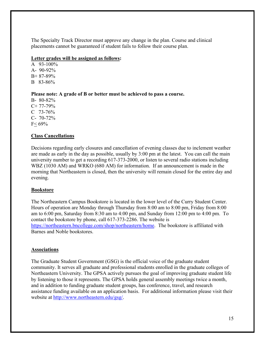The Specialty Track Director must approve any change in the plan. Course and clinical placements cannot be guaranteed if student fails to follow their course plan.

#### **Letter grades will be assigned as follows:**

A 93-100% A- 90-92% B+ 87-89% B 83-86%

**Please note: A grade of B or better must be achieved to pass a course.**

B- 80-82%  $C+ 77-79%$ C 73-76% C- 70-72% F< 69%

## **Class Cancellations**

Decisions regarding early closures and cancellation of evening classes due to inclement weather are made as early in the day as possible, usually by 3:00 pm at the latest. You can call the main university number to get a recording 617-373-2000, or listen to several radio stations including WBZ (1030 AM) and WRKO (680 AM) for information. If an announcement is made in the morning that Northeastern is closed, then the university will remain closed for the entire day and evening.

## **Bookstore**

The Northeastern Campus Bookstore is located in the lower level of the Curry Student Center. Hours of operation are Monday through Thursday from 8:00 am to 8:00 pm, Friday from 8:00 am to 6:00 pm, Saturday from 8:30 am to 4:00 pm, and Sunday from 12:00 pm to 4:00 pm. To contact the bookstore by phone, call 617-373-2286. The website is [https://northeastern.bncollege.com/shop/northeastern/home.](https://northeastern.bncollege.com/shop/northeastern/home) The bookstore is affiliated with Barnes and Noble bookstores.

#### **Associations**

The Graduate Student Government (GSG) is the official voice of the graduate student community. It serves all graduate and professional students enrolled in the graduate colleges of Northeastern University. The GPSA actively pursues the goal of improving graduate student life by listening to those it represents. The GPSA holds general assembly meetings twice a month, and in addition to funding graduate student groups, has conference, travel, and research assistance funding available on an [application basis.](http://www.gpsa.neu.edu/funding_process.php) For additional information please visit their website at [http://www.northeastern.edu/gsg/.](http://www.northeastern.edu/gsg/)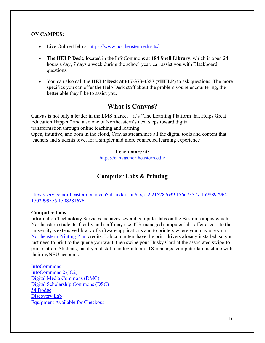#### **ON CAMPUS:**

- Live Online Help at<https://www.northeastern.edu/its/>
- **The HELP Desk**, located in the InfoCommons at **184 Snell Library**, which is open 24 hours a day, 7 days a week during the school year, can assist you with Blackboard questions.
- You can also call the **HELP Desk at 617-373-4357 (xHELP)** to ask questions. The more specifics you can offer the Help Desk staff about the problem you're encountering, the better able they'll be to assist you.

# **What is Canvas?**

Canvas is not only a leader in the LMS market—it's "The Learning Platform that Helps Great Education Happen" and also one of Northeastern's next steps toward digital transformation through online teaching and learning. Open, intuitive, and born in the cloud, Canvas streamlines all the digital tools and content that teachers and students love, for a simpler and more connected learning experience

#### **Learn more at:**

https://canvas.northeastern.edu/

# **Computer Labs & Printing**

[https://service.northeastern.edu/tech?id=index\\_nu#\\_ga=2.215287639.156673577.1598897964-](https://service.northeastern.edu/tech?id=index_nu#_ga=2.215287639.156673577.1598897964-1702999555.1598281676) [1702999555.1598281676](https://service.northeastern.edu/tech?id=index_nu#_ga=2.215287639.156673577.1598897964-1702999555.1598281676)

#### **Computer Labs**

Information Technology Services manages several computer labs on the Boston campus which Northeastern students, faculty and staff may use. ITS-managed computer labs offer access to the university's extensive library of software applications and to printers where you may use your [Northeastern Printing Plan](https://www.northeastern.edu/its/services/printing-plan/) credits. Lab computers have the print drivers already installed, so you just need to print to the queue you want, then swipe your Husky Card at the associated swipe-toprint station. Students, faculty and staff can log into an ITS-managed computer lab machine with their myNEU accounts.

[InfoCommons](https://www.northeastern.edu/its/services/labs/#ic) [InfoCommons 2 \(IC2\)](https://www.northeastern.edu/its/services/labs/#ic2) [Digital Media Commons \(DMC\)](https://www.northeastern.edu/its/services/labs/#dmc) [Digital Scholarship Commons \(DSC\)](https://www.northeastern.edu/its/services/labs/#dsc) [54 Dodge](https://www.northeastern.edu/its/services/labs/#54dg) [Discovery Lab](https://www.northeastern.edu/its/services/labs/#disc) [Equipment Available for Checkout](https://www.northeastern.edu/its/services/equipment-checkout/)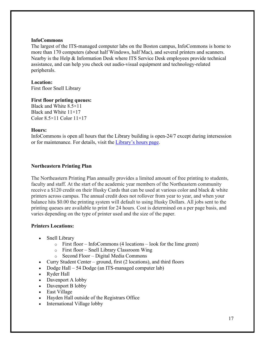#### **InfoCommons**

The largest of the ITS-managed computer labs on the Boston campus, InfoCommons is home to more than 170 computers (about half Windows, half Mac), and several printers and scanners. Nearby is the Help & Information Desk where ITS Service Desk employees provide technical assistance, and can help you check out audio-visual equipment and technology-related peripherals.

#### **Location:**

First floor Snell Library

#### **First floor printing queues:**

Black and White 8.5×11 Black and White 11×17 Color  $8.5 \times 11$  Color  $11 \times 17$ 

#### **Hours:**

InfoCommons is open all hours that the Library building is open-24/7 except during intersession or for maintenance. For details, visit the [Library's hours page.](http://library.northeastern.edu/about/visitors/hours)

#### **Northeastern Printing Plan**

The Northeastern Printing Plan annually provides a limited amount of free printing to students, faculty and staff. At the start of the academic year members of the Northeastern community receive a \$120 credit on their Husky Cards that can be used at various color and black & white printers across campus. The annual credit does not rollover from year to year, and when your balance hits \$0.00 the printing system will default to using Husky Dollars. All jobs sent to the printing queues are available to print for 24 hours. Cost is determined on a per page basis, and varies depending on the type of printer used and the size of the paper.

## **Printers Locations:**

- Snell Library
	- $\circ$  First floor InfoCommons (4 locations look for the lime green)
	- o First floor Snell Library Classroom Wing
	- o Second Floor Digital Media Commons
- Curry Student Center ground, first (2 locations), and third floors
- Dodge Hall 54 Dodge (an ITS-managed computer lab)
- Ryder Hall
- Davenport A lobby
- Davenport B lobby
- East Village
- Hayden Hall outside of the Registrars Office
- International Village lobby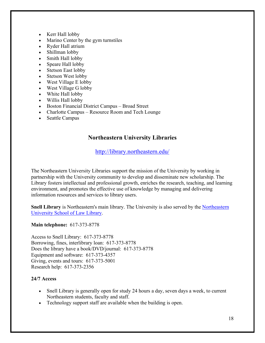- Kerr Hall lobby
- Marino Center by the gym turnstiles
- Ryder Hall atrium
- Shillman lobby
- Smith Hall lobby
- Speare Hall lobby
- Stetson East lobby
- Stetson West lobby
- West Village E lobby
- West Village G lobby
- White Hall lobby
- Willis Hall lobby
- Boston Financial District Campus Broad Street
- Charlotte Campus Resource Room and Tech Lounge
- Seattle Campus

# **Northeastern University Libraries**

<http://library.northeastern.edu/>

The Northeastern University Libraries support the mission of the University by working in partnership with the University community to develop and disseminate new scholarship. The Library fosters intellectual and professional growth, enriches the research, teaching, and learning environment, and promotes the effective use of knowledge by managing and delivering information resources and services to library users.

**Snell Library** is Northeastern's main library. The University is also served by the [Northeastern](http://www.northeastern.edu/law/library/)  [University School of Law Library.](http://www.northeastern.edu/law/library/)

#### **Main telephone:** 617-373-8778

Access to Snell Library: 617-373-8778 Borrowing, fines, interlibrary loan: 617-373-8778 Does the library have a book/DVD/journal: 617-373-8778 Equipment and software: 617-373-4357 Giving, events and tours: 617-373-5001 Research help: 617-373-2356

## **24/7 Access**

- Snell Library is generally open for study 24 hours a day, seven days a week, to current Northeastern students, faculty and staff.
- Technology support staff are available when the building is open.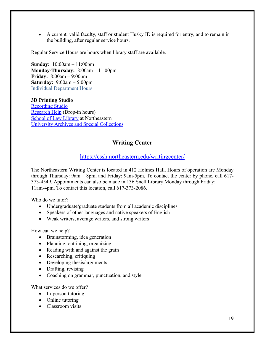• A current, valid faculty, staff or student Husky ID is required for entry, and to remain in the building, after regular service hours.

Regular Service Hours are hours when library staff are available.

**Sunday:** 10:00am – 11:00pm **Monday-Thursday:** 8:00am – 11:00pm **Friday:** 8:00am – 9:00pm **Saturday:** 9:00am – 5:00pm Individual Department Hours

**3D Printing Studio** [Recording Studio](http://library.northeastern.edu/services/digital-media-commons-studios) [Research Help](https://library.northeastern.edu/about/visitors/hours/research-help-drop-in-hours) (Drop-in hours) [School of Law Library](http://www.northeastern.edu/law/library/) at Northeastern [University Archives and Special Collections](http://library.northeastern.edu/archives-special-collections/visitors/hours)

# **Writing Center**

## <https://cssh.northeastern.edu/writingcenter/>

The Northeastern Writing Center is located in 412 Holmes Hall. Hours of operation are Monday through Thursday: 9am – 8pm, and Friday: 9am-5pm. To contact the center by phone, call 617- 373-4549. Appointments can also be made in 136 Snell Library Monday through Friday: 11am-4pm. To contact this location, call 617-373-2086.

Who do we tutor?

- Undergraduate/graduate students from all academic disciplines
- Speakers of other languages and native speakers of English
- Weak writers, average writers, and strong writers

How can we help?

- Brainstorming, idea generation
- Planning, outlining, organizing
- Reading with and against the grain
- Researching, critiquing
- Developing thesis/arguments
- Drafting, revising
- Coaching on grammar, punctuation, and style

What services do we offer?

- In-person tutoring
- Online tutoring
- Classroom visits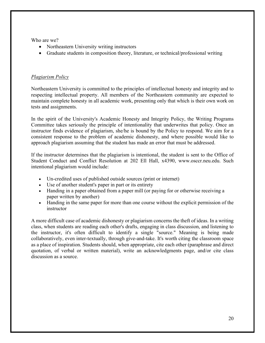Who are we?

- Northeastern University writing instructors
- Graduate students in composition theory, literature, or technical/professional writing

## *Plagiarism Policy*

Northeastern University is committed to the principles of intellectual honesty and integrity and to respecting intellectual property. All members of the Northeastern community are expected to maintain complete honesty in all academic work, presenting only that which is their own work on tests and assignments.

In the spirit of the University's Academic Honesty and Integrity Policy, the Writing Programs Committee takes seriously the principle of intentionality that underwrites that policy. Once an instructor finds evidence of plagiarism, she/he is bound by the Policy to respond. We aim for a consistent response to the problem of academic dishonesty, and where possible would like to approach plagiarism assuming that the student has made an error that must be addressed.

If the instructor determines that the plagiarism is intentional, the student is sent to the Office of Student Conduct and Conflict Resolution at 202 Ell Hall, x4390, [www.osccr.neu.edu.](http://www.osccr.neu.edu/) Such intentional plagiarism would include:

- Un-credited uses of published outside sources (print or internet)
- Use of another student's paper in part or its entirety
- Handing in a paper obtained from a paper mill (or paying for or otherwise receiving a paper written by another)
- Handing in the same paper for more than one course without the explicit permission of the instructor

A more difficult case of academic dishonesty or plagiarism concerns the theft of ideas. In a writing class, when students are reading each other's drafts, engaging in class discussion, and listening to the instructor, it's often difficult to identify a single "source." Meaning is being made collaboratively, even inter-textually, through give-and-take. It's worth citing the classroom space as a place of inspiration. Students should, when appropriate, cite each other (paraphrase and direct quotation, of verbal or written material), write an acknowledgments page, and/or cite class discussion as a source.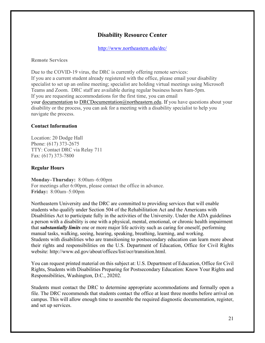# **Disability Resource Center**

<http://www.northeastern.edu/drc/>

**Remote [Services](http://www.northeastern.edu/drc/remote-services/)**

Due to the COVID-19 virus, the DRC is currently offering remote services: If you are a current student already registered with the office, please email your disability specialist to set up an online meeting; specialist are holding virtual meetings using Microsoft Teams and Zoom. DRC staff are available during regular business hours 8am-5pm. If you are requesting accommodations for the first time, you can email your [documentation](http://www.northeastern.edu/drc/documentation-guidelines/) to [DRCDocumentation@northeastern.edu.](mailto:DRCDocumentation@northeastern.edu) If you have questions about your disability or the process, you can ask for a meeting with a disability specialist to help you navigate the process.

#### **Contact Information**

Location: 20 Dodge Hall Phone: (617) 373-2675 TTY: Contact DRC via Relay 711 Fax: (617) 373-7800

#### **Regular Hours**

**Monday–Thursday:** 8:00am–6:00pm For meetings after 6:00pm, please contact the office in advance. **Friday:** 8:00am–5:00pm

Northeastern University and the DRC are committed to providing services that will enable students who qualify under Section 504 of the Rehabilitation Act and the Americans with Disabilities Act to participate fully in the activities of the University. Under the ADA guidelines a person with a disability is one with a physical, mental, emotional, or chronic health impairment that *substantially limits* one or more major life activity such as caring for oneself, performing manual tasks, walking, seeing, hearing, speaking, breathing, learning, and working. Students with disabilities who are transitioning to postsecondary education can learn more about their rights and responsibilities on the U.S. Department of Education, Office for Civil Rights website: [http://www.ed.gov/about/offices/list/ocr/transition.html.](http://www.ed.gov/about/offices/list/ocr/transition.html)

You can request printed material on this subject at: U.S. Department of Education, Office for Civil Rights, Students with Disabilities Preparing for Postsecondary Education: Know Your Rights and Responsibilities, Washington, D.C., 20202.

Students must contact the DRC to determine appropriate accommodations and formally open a file. The DRC recommends that students contact the office at least three months before arrival on campus. This will allow enough time to assemble the required diagnostic documentation, register, and set up services.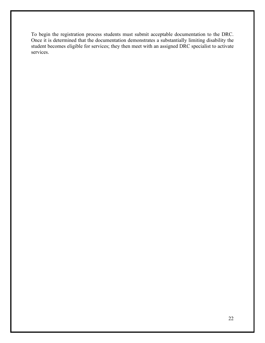To begin the registration process students must submit acceptable documentation to the DRC. Once it is determined that the documentation demonstrates a substantially limiting disability the student becomes eligible for services; they then meet with an assigned DRC specialist to activate services.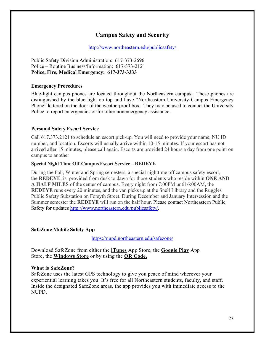# **Campus Safety and Security**

<http://www.northeastern.edu/publicsafety/>

Public Safety Division Administration: 617-373-2696 Police – Routine Business/Information: 617-373-2121 **Police, Fire, Medical Emergency: 617-373-3333**

#### **Emergency Procedures**

Blue-light campus phones are located throughout the Northeastern campus. These phones are distinguished by the blue light on top and have "Northeastern University Campus Emergency Phone" lettered on the door of the weatherproof box. They may be used to contact the University Police to report emergencies or for other nonemergency assistance.

#### **Personal Safety Escort Service**

Call 617.373.2121 to schedule an escort pick-up. You will need to provide your name, NU ID number, and location. Escorts will usually arrive within 10-15 minutes. If your escort has not arrived after 15 minutes, please call again. Escorts are provided 24 hours a day from one point on campus to another

#### **Special Night Time Off-Campus Escort Service – REDEYE**

During the Fall, Winter and Spring semesters, a special nighttime off campus safety escort, the **REDEYE**, is provided from dusk to dawn for those students who reside within **ONE AND A HALF MILES** of the center of campus. Every night from 7:00PM until 6:00AM, the **REDEYE** runs every 20 minutes, and the van picks up at the Snell Library and the Ruggles Public Safety Substation on Forsyth Street. During December and January Intersession and the Summer semester the **REDEYE** will run on the half hour. Please contact Northeastern Public Safety for updates [http://www.northeastern.edu/publicsafety/.](http://www.northeastern.edu/publicsafety/)

#### **SafeZone Mobile Safety App**

<https://nupd.northeastern.edu/safezone/>

Download SafeZone from either the **[iTunes](https://itunes.apple.com/au/app/safezone/id533054756?mt=8)** App Store, the **[Google Play](https://play.google.com/store/apps/details?id=com.criticalarc.safezoneapp)** App Store, the **[Windows Store](https://www.microsoft.com/en-us/store/p/safezone/9wzdncrdfj25)** or by using the **[QR Code.](https://dev-nuweb.northeastern.edu/nupd/wp-content/uploads/2016/09/DownloadCodes.png)**

## **What is SafeZone?**

SafeZone uses the latest GPS technology to give you peace of mind wherever your experiential learning takes you. It's free for all Northeastern students, faculty, and staff. Inside the designated SafeZone areas, the app provides you with immediate access to the NUPD.